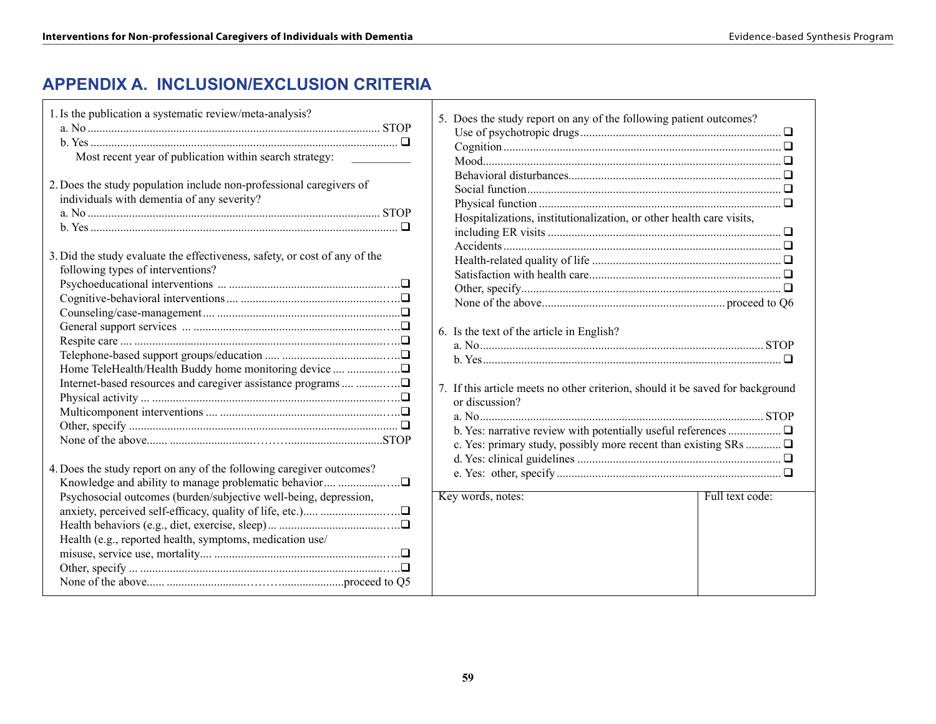# **APPENDIX A. Inclusion/Exclusion Criteria**

| Most recent year of publication within search strategy:<br>2. Does the study population include non-professional caregivers of<br>individuals with dementia of any severity?<br>3. Did the study evaluate the effectiveness, safety, or cost of any of the<br>following types of interventions? |
|-------------------------------------------------------------------------------------------------------------------------------------------------------------------------------------------------------------------------------------------------------------------------------------------------|
|                                                                                                                                                                                                                                                                                                 |
|                                                                                                                                                                                                                                                                                                 |
|                                                                                                                                                                                                                                                                                                 |
|                                                                                                                                                                                                                                                                                                 |
|                                                                                                                                                                                                                                                                                                 |
|                                                                                                                                                                                                                                                                                                 |
|                                                                                                                                                                                                                                                                                                 |
|                                                                                                                                                                                                                                                                                                 |
|                                                                                                                                                                                                                                                                                                 |
|                                                                                                                                                                                                                                                                                                 |
|                                                                                                                                                                                                                                                                                                 |
|                                                                                                                                                                                                                                                                                                 |
|                                                                                                                                                                                                                                                                                                 |
|                                                                                                                                                                                                                                                                                                 |
|                                                                                                                                                                                                                                                                                                 |
| 4. Does the study report on any of the following caregiver outcomes?                                                                                                                                                                                                                            |
|                                                                                                                                                                                                                                                                                                 |
| Psychosocial outcomes (burden/subjective well-being, depression,                                                                                                                                                                                                                                |
|                                                                                                                                                                                                                                                                                                 |
| Health (e.g., reported health, symptoms, medication use/                                                                                                                                                                                                                                        |
|                                                                                                                                                                                                                                                                                                 |
|                                                                                                                                                                                                                                                                                                 |
|                                                                                                                                                                                                                                                                                                 |

|  | 5. Does the study report on any of the following patient outcomes?                                                                                                                                                               |                 |
|--|----------------------------------------------------------------------------------------------------------------------------------------------------------------------------------------------------------------------------------|-----------------|
|  |                                                                                                                                                                                                                                  |                 |
|  |                                                                                                                                                                                                                                  |                 |
|  |                                                                                                                                                                                                                                  |                 |
|  |                                                                                                                                                                                                                                  |                 |
|  |                                                                                                                                                                                                                                  |                 |
|  |                                                                                                                                                                                                                                  |                 |
|  | Hospitalizations, institutionalization, or other health care visits,                                                                                                                                                             |                 |
|  |                                                                                                                                                                                                                                  |                 |
|  |                                                                                                                                                                                                                                  |                 |
|  |                                                                                                                                                                                                                                  |                 |
|  |                                                                                                                                                                                                                                  |                 |
|  |                                                                                                                                                                                                                                  |                 |
|  |                                                                                                                                                                                                                                  |                 |
|  |                                                                                                                                                                                                                                  |                 |
|  | 6. Is the text of the article in English?                                                                                                                                                                                        |                 |
|  |                                                                                                                                                                                                                                  |                 |
|  | $b. Yes.$ Test and the set of the set of the set of the set of the set of the set of the set of the set of the set of the set of the set of the set of the set of the set of the set of the set of the set of the set of the set |                 |
|  |                                                                                                                                                                                                                                  |                 |
|  | 7. If this article meets no other criterion, should it be saved for background                                                                                                                                                   |                 |
|  | or discussion?                                                                                                                                                                                                                   |                 |
|  |                                                                                                                                                                                                                                  |                 |
|  |                                                                                                                                                                                                                                  |                 |
|  | c. Yes: primary study, possibly more recent than existing SRs                                                                                                                                                                    |                 |
|  |                                                                                                                                                                                                                                  |                 |
|  |                                                                                                                                                                                                                                  |                 |
|  | Key words, notes:                                                                                                                                                                                                                | Full text code: |
|  |                                                                                                                                                                                                                                  |                 |
|  |                                                                                                                                                                                                                                  |                 |
|  |                                                                                                                                                                                                                                  |                 |
|  |                                                                                                                                                                                                                                  |                 |
|  |                                                                                                                                                                                                                                  |                 |
|  |                                                                                                                                                                                                                                  |                 |
|  |                                                                                                                                                                                                                                  |                 |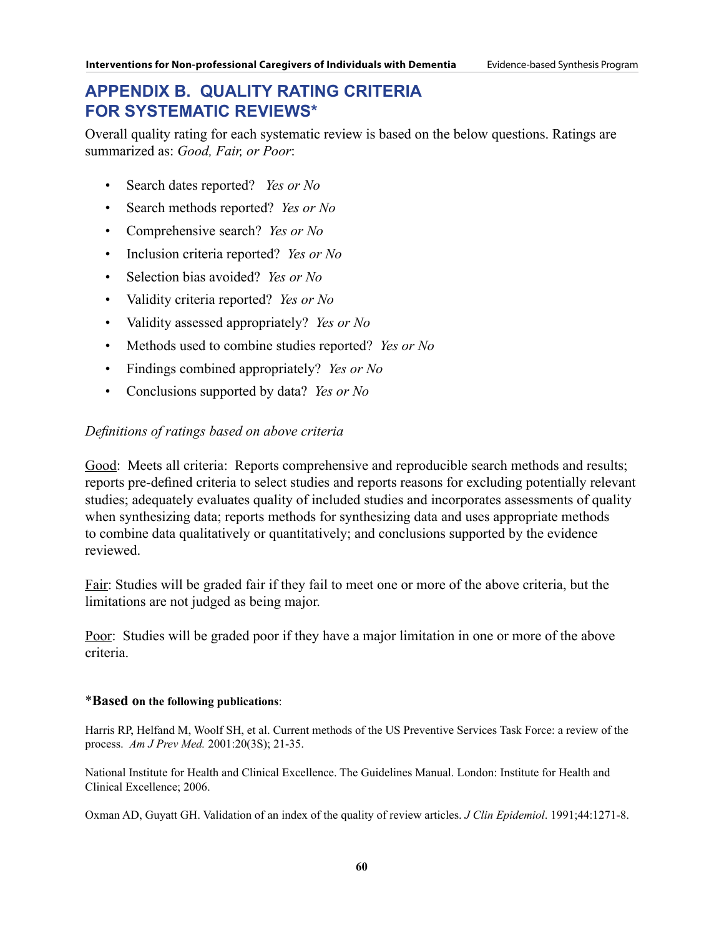## **APPENDIX B. QUALITY RATING CRITERIA FOR SYSTEMATIC REVIEWS\***

Overall quality rating for each systematic review is based on the below questions. Ratings are summarized as: *Good, Fair, or Poor*:

- Search dates reported? *Yes or No*
- Search methods reported? *Yes or No*
- Comprehensive search? *Yes or No*
- Inclusion criteria reported? *Yes or No*
- Selection bias avoided? *Yes or No*
- Validity criteria reported? *Yes or No*
- Validity assessed appropriately? *Yes or No*
- Methods used to combine studies reported? *Yes or No*
- Findings combined appropriately? *Yes or No*
- Conclusions supported by data? *Yes or No*

### *Definitions of ratings based on above criteria*

Good: Meets all criteria: Reports comprehensive and reproducible search methods and results; reports pre-defined criteria to select studies and reports reasons for excluding potentially relevant studies; adequately evaluates quality of included studies and incorporates assessments of quality when synthesizing data; reports methods for synthesizing data and uses appropriate methods to combine data qualitatively or quantitatively; and conclusions supported by the evidence reviewed.

Fair: Studies will be graded fair if they fail to meet one or more of the above criteria, but the limitations are not judged as being major.

Poor: Studies will be graded poor if they have a major limitation in one or more of the above criteria.

#### \***Based on the following publications**:

Harris RP, Helfand M, Woolf SH, et al. Current methods of the US Preventive Services Task Force: a review of the process. *Am J Prev Med.* 2001:20(3S); 21-35.

National Institute for Health and Clinical Excellence. The Guidelines Manual. London: Institute for Health and Clinical Excellence; 2006.

Oxman AD, Guyatt GH. Validation of an index of the quality of review articles. *J Clin Epidemiol*. 1991;44:1271-8.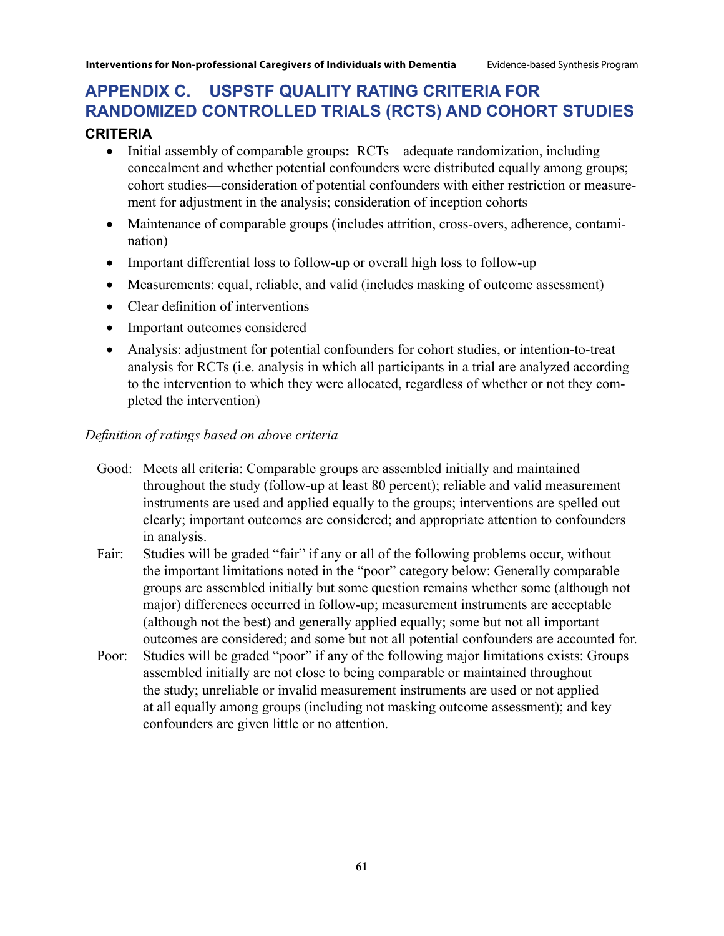# **APPENDIX C. USPSTF Quality Rating Criteria for Randomized Controlled Trials (RCTs) and Cohort Studies**

## **Criteria**

- • Initial assembly of comparable groups**:** RCTs—adequate randomization, including concealment and whether potential confounders were distributed equally among groups; cohort studies—consideration of potential confounders with either restriction or measurement for adjustment in the analysis; consideration of inception cohorts
- Maintenance of comparable groups (includes attrition, cross-overs, adherence, contamination)
- Important differential loss to follow-up or overall high loss to follow-up
- Measurements: equal, reliable, and valid (includes masking of outcome assessment)
- Clear definition of interventions
- Important outcomes considered
- Analysis: adjustment for potential confounders for cohort studies, or intention-to-treat analysis for RCTs (i.e. analysis in which all participants in a trial are analyzed according to the intervention to which they were allocated, regardless of whether or not they completed the intervention)

## *Definition of ratings based on above criteria*

- Good: Meets all criteria: Comparable groups are assembled initially and maintained throughout the study (follow-up at least 80 percent); reliable and valid measurement instruments are used and applied equally to the groups; interventions are spelled out clearly; important outcomes are considered; and appropriate attention to confounders in analysis.
- Fair: Studies will be graded "fair" if any or all of the following problems occur, without the important limitations noted in the "poor" category below: Generally comparable groups are assembled initially but some question remains whether some (although not major) differences occurred in follow-up; measurement instruments are acceptable (although not the best) and generally applied equally; some but not all important outcomes are considered; and some but not all potential confounders are accounted for.
- Poor: Studies will be graded "poor" if any of the following major limitations exists: Groups assembled initially are not close to being comparable or maintained throughout the study; unreliable or invalid measurement instruments are used or not applied at all equally among groups (including not masking outcome assessment); and key confounders are given little or no attention.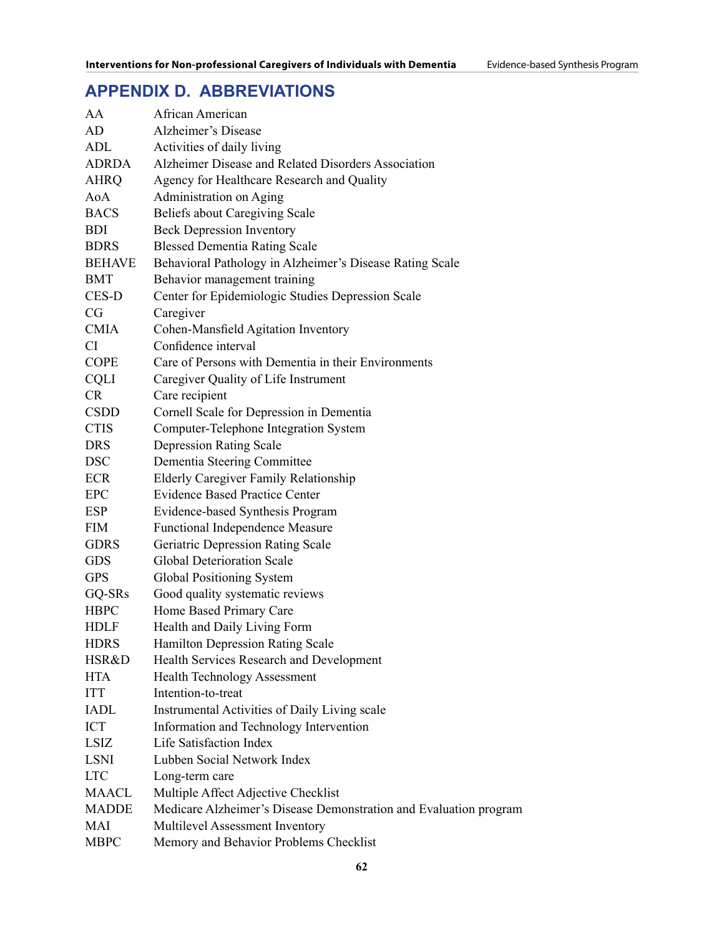# **APPENDIX D. ABBREVIATIONS**

| AA            | African American                                                  |
|---------------|-------------------------------------------------------------------|
| AD            | Alzheimer's Disease                                               |
| ADL           | Activities of daily living                                        |
| <b>ADRDA</b>  | Alzheimer Disease and Related Disorders Association               |
| <b>AHRQ</b>   | Agency for Healthcare Research and Quality                        |
| AoA           | Administration on Aging                                           |
| <b>BACS</b>   | <b>Beliefs about Caregiving Scale</b>                             |
| <b>BDI</b>    | <b>Beck Depression Inventory</b>                                  |
| <b>BDRS</b>   | <b>Blessed Dementia Rating Scale</b>                              |
| <b>BEHAVE</b> | Behavioral Pathology in Alzheimer's Disease Rating Scale          |
| <b>BMT</b>    | Behavior management training                                      |
| CES-D         | Center for Epidemiologic Studies Depression Scale                 |
| CG            | Caregiver                                                         |
| <b>CMIA</b>   | Cohen-Mansfield Agitation Inventory                               |
| CI            | Confidence interval                                               |
| <b>COPE</b>   | Care of Persons with Dementia in their Environments               |
| <b>CQLI</b>   | Caregiver Quality of Life Instrument                              |
| <b>CR</b>     | Care recipient                                                    |
| <b>CSDD</b>   | Cornell Scale for Depression in Dementia                          |
| <b>CTIS</b>   | <b>Computer-Telephone Integration System</b>                      |
| <b>DRS</b>    | <b>Depression Rating Scale</b>                                    |
| <b>DSC</b>    | Dementia Steering Committee                                       |
| <b>ECR</b>    | <b>Elderly Caregiver Family Relationship</b>                      |
| <b>EPC</b>    | <b>Evidence Based Practice Center</b>                             |
| ESP           | Evidence-based Synthesis Program                                  |
| <b>FIM</b>    | <b>Functional Independence Measure</b>                            |
| <b>GDRS</b>   | <b>Geriatric Depression Rating Scale</b>                          |
| <b>GDS</b>    | <b>Global Deterioration Scale</b>                                 |
| <b>GPS</b>    | Global Positioning System                                         |
| GQ-SRs        | Good quality systematic reviews                                   |
| <b>HBPC</b>   | Home Based Primary Care                                           |
| <b>HDLF</b>   | Health and Daily Living Form                                      |
| <b>HDRS</b>   | <b>Hamilton Depression Rating Scale</b>                           |
| HSR&D         | Health Services Research and Development                          |
| <b>HTA</b>    | <b>Health Technology Assessment</b>                               |
| <b>ITT</b>    | Intention-to-treat                                                |
| <b>IADL</b>   | Instrumental Activities of Daily Living scale                     |
| <b>ICT</b>    | Information and Technology Intervention                           |
| <b>LSIZ</b>   | Life Satisfaction Index                                           |
| <b>LSNI</b>   | Lubben Social Network Index                                       |
| <b>LTC</b>    | Long-term care                                                    |
| <b>MAACL</b>  | Multiple Affect Adjective Checklist                               |
| <b>MADDE</b>  | Medicare Alzheimer's Disease Demonstration and Evaluation program |
| MAI           | Multilevel Assessment Inventory                                   |
| <b>MBPC</b>   | Memory and Behavior Problems Checklist                            |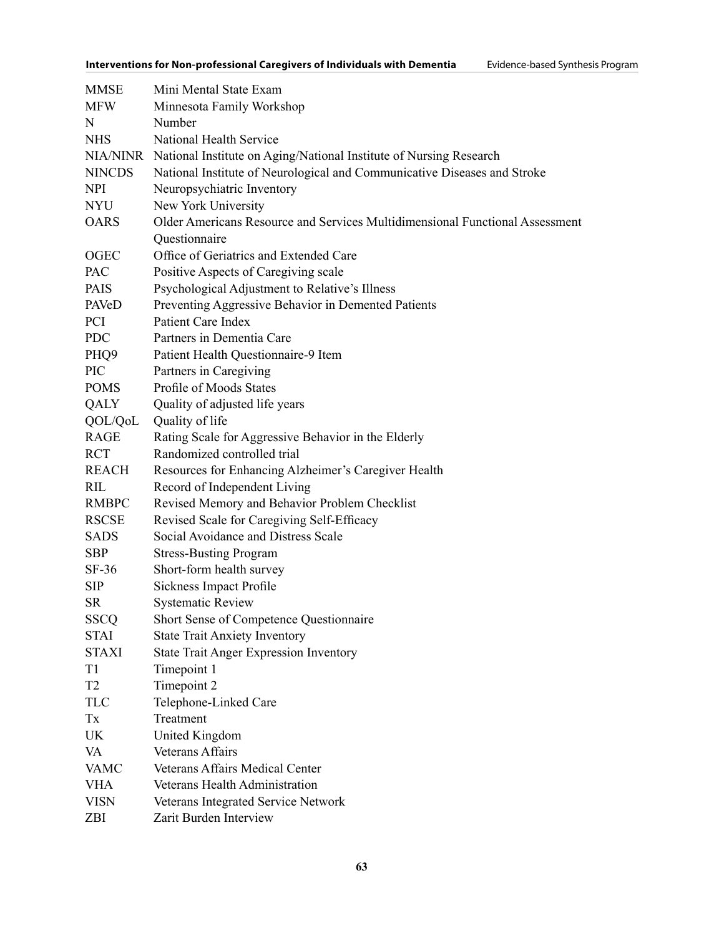| <b>MMSE</b>      | Mini Mental State Exam                                                       |
|------------------|------------------------------------------------------------------------------|
| <b>MFW</b>       | Minnesota Family Workshop                                                    |
| N                | Number                                                                       |
| <b>NHS</b>       | National Health Service                                                      |
|                  | NIA/NINR National Institute on Aging/National Institute of Nursing Research  |
| <b>NINCDS</b>    | National Institute of Neurological and Communicative Diseases and Stroke     |
| <b>NPI</b>       | Neuropsychiatric Inventory                                                   |
| <b>NYU</b>       | New York University                                                          |
| <b>OARS</b>      | Older Americans Resource and Services Multidimensional Functional Assessment |
|                  | Questionnaire                                                                |
| OGEC             | Office of Geriatrics and Extended Care                                       |
| PAC              | Positive Aspects of Caregiving scale                                         |
| <b>PAIS</b>      | Psychological Adjustment to Relative's Illness                               |
| PAVeD            | Preventing Aggressive Behavior in Demented Patients                          |
| <b>PCI</b>       | <b>Patient Care Index</b>                                                    |
| <b>PDC</b>       | Partners in Dementia Care                                                    |
| PHQ <sub>9</sub> | Patient Health Questionnaire-9 Item                                          |
| PIC              | Partners in Caregiving                                                       |
| <b>POMS</b>      | Profile of Moods States                                                      |
| QALY             | Quality of adjusted life years                                               |
| QOL/QoL          | Quality of life                                                              |
| RAGE             | Rating Scale for Aggressive Behavior in the Elderly                          |
| <b>RCT</b>       | Randomized controlled trial                                                  |
| <b>REACH</b>     | Resources for Enhancing Alzheimer's Caregiver Health                         |
| <b>RIL</b>       | Record of Independent Living                                                 |
| <b>RMBPC</b>     | Revised Memory and Behavior Problem Checklist                                |
| RSCSE            | Revised Scale for Caregiving Self-Efficacy                                   |
| <b>SADS</b>      | Social Avoidance and Distress Scale                                          |
| <b>SBP</b>       | <b>Stress-Busting Program</b>                                                |
| $SF-36$          | Short-form health survey                                                     |
| <b>SIP</b>       | <b>Sickness Impact Profile</b>                                               |
| SR               | <b>Systematic Review</b>                                                     |
| <b>SSCQ</b>      | Short Sense of Competence Questionnaire                                      |
| STAI             | <b>State Trait Anxiety Inventory</b>                                         |
| STAXI            | <b>State Trait Anger Expression Inventory</b>                                |
| T1               | Timepoint 1                                                                  |
| T2               | Timepoint 2                                                                  |
| TLC              | Telephone-Linked Care                                                        |
| Tx               | Treatment                                                                    |
| UK               | United Kingdom                                                               |
| VA               | Veterans Affairs                                                             |
| <b>VAMC</b>      | Veterans Affairs Medical Center                                              |
| <b>VHA</b>       | Veterans Health Administration                                               |
| <b>VISN</b>      | Veterans Integrated Service Network                                          |
| ZBI              | Zarit Burden Interview                                                       |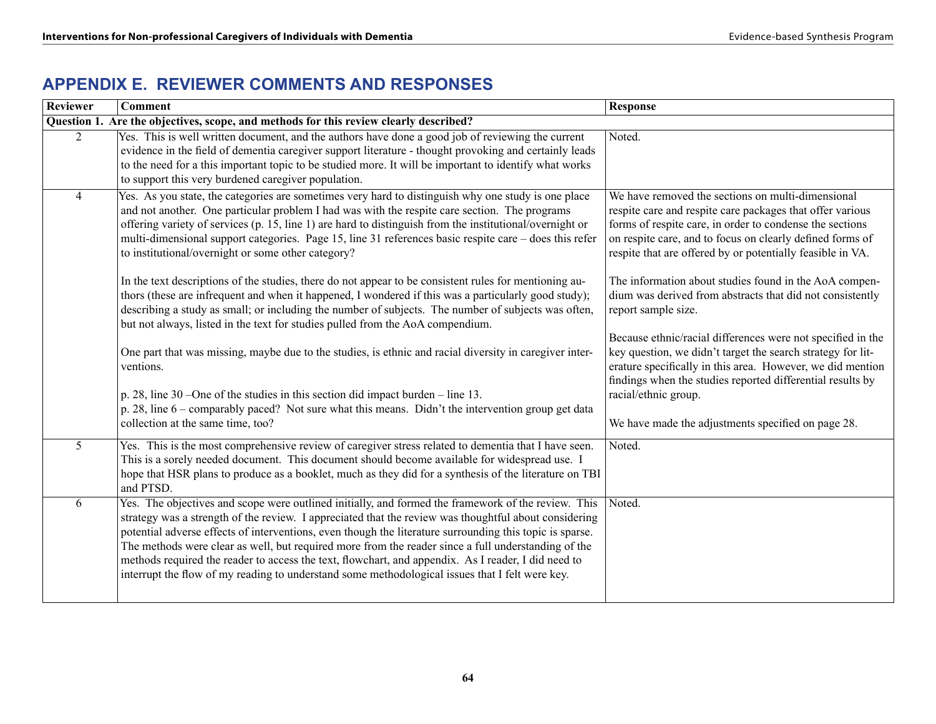## **APPENDIX E. REVIEWER COMMENTS AND RESPONSES**

| Reviewer                                                                              | $\overline{\mathbf{Comment}}$                                                                                                                                                                                                                                                                                                                                                                                                                                                                                                                                                                                                             | <b>Response</b>                                                                                                                                                                                                                                                                                       |
|---------------------------------------------------------------------------------------|-------------------------------------------------------------------------------------------------------------------------------------------------------------------------------------------------------------------------------------------------------------------------------------------------------------------------------------------------------------------------------------------------------------------------------------------------------------------------------------------------------------------------------------------------------------------------------------------------------------------------------------------|-------------------------------------------------------------------------------------------------------------------------------------------------------------------------------------------------------------------------------------------------------------------------------------------------------|
| Question 1. Are the objectives, scope, and methods for this review clearly described? |                                                                                                                                                                                                                                                                                                                                                                                                                                                                                                                                                                                                                                           |                                                                                                                                                                                                                                                                                                       |
| $\overline{2}$                                                                        | Yes. This is well written document, and the authors have done a good job of reviewing the current<br>evidence in the field of dementia caregiver support literature - thought provoking and certainly leads<br>to the need for a this important topic to be studied more. It will be important to identify what works<br>to support this very burdened caregiver population.                                                                                                                                                                                                                                                              | Noted.                                                                                                                                                                                                                                                                                                |
| $\overline{4}$                                                                        | Yes. As you state, the categories are sometimes very hard to distinguish why one study is one place<br>and not another. One particular problem I had was with the respite care section. The programs<br>offering variety of services (p. 15, line 1) are hard to distinguish from the institutional/overnight or<br>multi-dimensional support categories. Page 15, line 31 references basic respite care – does this refer<br>to institutional/overnight or some other category?                                                                                                                                                          | We have removed the sections on multi-dimensional<br>respite care and respite care packages that offer various<br>forms of respite care, in order to condense the sections<br>on respite care, and to focus on clearly defined forms of<br>respite that are offered by or potentially feasible in VA. |
|                                                                                       | In the text descriptions of the studies, there do not appear to be consistent rules for mentioning au-<br>thors (these are infrequent and when it happened, I wondered if this was a particularly good study);<br>describing a study as small; or including the number of subjects. The number of subjects was often,<br>but not always, listed in the text for studies pulled from the AoA compendium.                                                                                                                                                                                                                                   | The information about studies found in the AoA compen-<br>dium was derived from abstracts that did not consistently<br>report sample size.                                                                                                                                                            |
|                                                                                       | One part that was missing, maybe due to the studies, is ethnic and racial diversity in caregiver inter-<br>ventions.                                                                                                                                                                                                                                                                                                                                                                                                                                                                                                                      | Because ethnic/racial differences were not specified in the<br>key question, we didn't target the search strategy for lit-<br>erature specifically in this area. However, we did mention<br>findings when the studies reported differential results by                                                |
|                                                                                       | p. 28, line 30 – One of the studies in this section did impact burden – line 13.<br>p. 28, line 6 – comparably paced? Not sure what this means. Didn't the intervention group get data<br>collection at the same time, too?                                                                                                                                                                                                                                                                                                                                                                                                               | racial/ethnic group.<br>We have made the adjustments specified on page 28.                                                                                                                                                                                                                            |
| 5                                                                                     | Yes. This is the most comprehensive review of caregiver stress related to dementia that I have seen.<br>This is a sorely needed document. This document should become available for widespread use. I<br>hope that HSR plans to produce as a booklet, much as they did for a synthesis of the literature on TBI<br>and PTSD.                                                                                                                                                                                                                                                                                                              | Noted.                                                                                                                                                                                                                                                                                                |
| 6                                                                                     | Yes. The objectives and scope were outlined initially, and formed the framework of the review. This<br>strategy was a strength of the review. I appreciated that the review was thoughtful about considering<br>potential adverse effects of interventions, even though the literature surrounding this topic is sparse.<br>The methods were clear as well, but required more from the reader since a full understanding of the<br>methods required the reader to access the text, flowchart, and appendix. As I reader, I did need to<br>interrupt the flow of my reading to understand some methodological issues that I felt were key. | Noted.                                                                                                                                                                                                                                                                                                |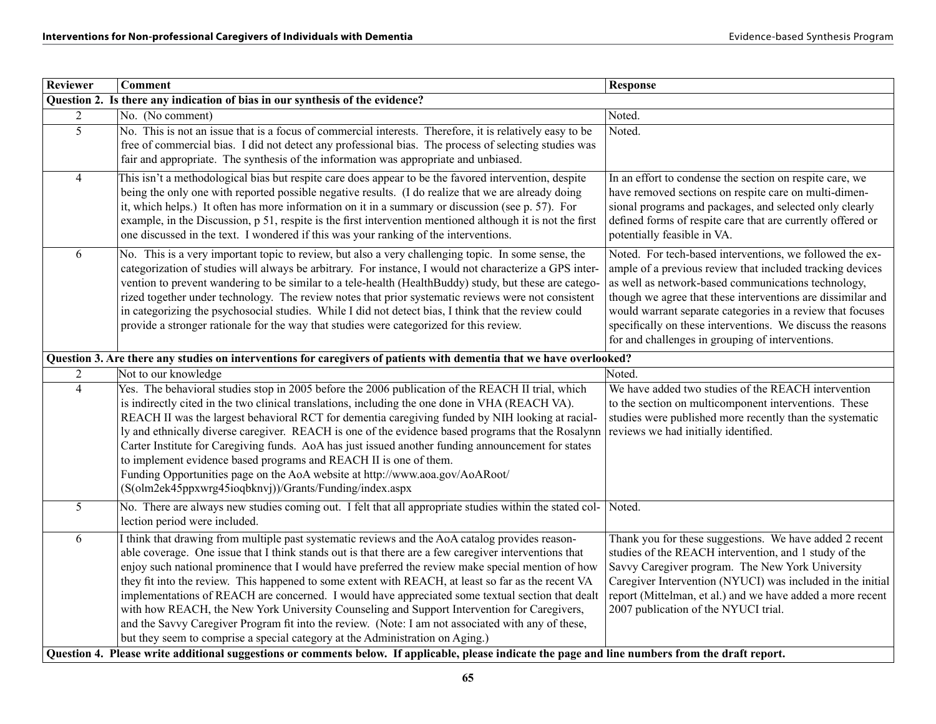| Reviewer                                                                                                                                           | <b>Comment</b>                                                                                                                                                                                                                                                                                                                                                                                                                                                                                                                                                                                                                                                                                                                                                                                                 | <b>Response</b>                                                                                                                                                                                                                                                                                                                                                                                                              |
|----------------------------------------------------------------------------------------------------------------------------------------------------|----------------------------------------------------------------------------------------------------------------------------------------------------------------------------------------------------------------------------------------------------------------------------------------------------------------------------------------------------------------------------------------------------------------------------------------------------------------------------------------------------------------------------------------------------------------------------------------------------------------------------------------------------------------------------------------------------------------------------------------------------------------------------------------------------------------|------------------------------------------------------------------------------------------------------------------------------------------------------------------------------------------------------------------------------------------------------------------------------------------------------------------------------------------------------------------------------------------------------------------------------|
| Question 2. Is there any indication of bias in our synthesis of the evidence?                                                                      |                                                                                                                                                                                                                                                                                                                                                                                                                                                                                                                                                                                                                                                                                                                                                                                                                |                                                                                                                                                                                                                                                                                                                                                                                                                              |
| $\overline{2}$                                                                                                                                     | No. (No comment)                                                                                                                                                                                                                                                                                                                                                                                                                                                                                                                                                                                                                                                                                                                                                                                               | Noted.                                                                                                                                                                                                                                                                                                                                                                                                                       |
| $\overline{5}$                                                                                                                                     | No. This is not an issue that is a focus of commercial interests. Therefore, it is relatively easy to be<br>free of commercial bias. I did not detect any professional bias. The process of selecting studies was<br>fair and appropriate. The synthesis of the information was appropriate and unbiased.                                                                                                                                                                                                                                                                                                                                                                                                                                                                                                      | Noted.                                                                                                                                                                                                                                                                                                                                                                                                                       |
| $\overline{4}$                                                                                                                                     | This isn't a methodological bias but respite care does appear to be the favored intervention, despite<br>being the only one with reported possible negative results. (I do realize that we are already doing<br>it, which helps.) It often has more information on it in a summary or discussion (see p. 57). For<br>example, in the Discussion, p 51, respite is the first intervention mentioned although it is not the first<br>one discussed in the text. I wondered if this was your ranking of the interventions.                                                                                                                                                                                                                                                                                        | In an effort to condense the section on respite care, we<br>have removed sections on respite care on multi-dimen-<br>sional programs and packages, and selected only clearly<br>defined forms of respite care that are currently offered or<br>potentially feasible in VA.                                                                                                                                                   |
| 6                                                                                                                                                  | No. This is a very important topic to review, but also a very challenging topic. In some sense, the<br>categorization of studies will always be arbitrary. For instance, I would not characterize a GPS inter-<br>vention to prevent wandering to be similar to a tele-health (HealthBuddy) study, but these are catego-<br>rized together under technology. The review notes that prior systematic reviews were not consistent<br>in categorizing the psychosocial studies. While I did not detect bias, I think that the review could<br>provide a stronger rationale for the way that studies were categorized for this review.                                                                                                                                                                             | Noted. For tech-based interventions, we followed the ex-<br>ample of a previous review that included tracking devices<br>as well as network-based communications technology,<br>though we agree that these interventions are dissimilar and<br>would warrant separate categories in a review that focuses<br>specifically on these interventions. We discuss the reasons<br>for and challenges in grouping of interventions. |
|                                                                                                                                                    | Question 3. Are there any studies on interventions for caregivers of patients with dementia that we have overlooked?                                                                                                                                                                                                                                                                                                                                                                                                                                                                                                                                                                                                                                                                                           |                                                                                                                                                                                                                                                                                                                                                                                                                              |
| $\overline{2}$                                                                                                                                     | Not to our knowledge                                                                                                                                                                                                                                                                                                                                                                                                                                                                                                                                                                                                                                                                                                                                                                                           | Noted.                                                                                                                                                                                                                                                                                                                                                                                                                       |
| $\overline{4}$                                                                                                                                     | Yes. The behavioral studies stop in 2005 before the 2006 publication of the REACH II trial, which<br>is indirectly cited in the two clinical translations, including the one done in VHA (REACH VA).<br>REACH II was the largest behavioral RCT for dementia caregiving funded by NIH looking at racial-<br>ly and ethnically diverse caregiver. REACH is one of the evidence based programs that the Rosalynn<br>Carter Institute for Caregiving funds. AoA has just issued another funding announcement for states<br>to implement evidence based programs and REACH II is one of them.<br>Funding Opportunities page on the AoA website at http://www.aoa.gov/AoARoot/<br>(S(olm2ek45ppxwrg45ioqbknvj))/Grants/Funding/index.aspx                                                                           | We have added two studies of the REACH intervention<br>to the section on multicomponent interventions. These<br>studies were published more recently than the systematic<br>reviews we had initially identified.                                                                                                                                                                                                             |
| 5                                                                                                                                                  | No. There are always new studies coming out. I felt that all appropriate studies within the stated col- Noted.<br>lection period were included.                                                                                                                                                                                                                                                                                                                                                                                                                                                                                                                                                                                                                                                                |                                                                                                                                                                                                                                                                                                                                                                                                                              |
| 6                                                                                                                                                  | I think that drawing from multiple past systematic reviews and the AoA catalog provides reason-<br>able coverage. One issue that I think stands out is that there are a few caregiver interventions that<br>enjoy such national prominence that I would have preferred the review make special mention of how<br>they fit into the review. This happened to some extent with REACH, at least so far as the recent VA<br>implementations of REACH are concerned. I would have appreciated some textual section that dealt<br>with how REACH, the New York University Counseling and Support Intervention for Caregivers,<br>and the Savvy Caregiver Program fit into the review. (Note: I am not associated with any of these,<br>but they seem to comprise a special category at the Administration on Aging.) | Thank you for these suggestions. We have added 2 recent<br>studies of the REACH intervention, and 1 study of the<br>Savvy Caregiver program. The New York University<br>Caregiver Intervention (NYUCI) was included in the initial<br>report (Mittelman, et al.) and we have added a more recent<br>2007 publication of the NYUCI trial.                                                                                     |
| Question 4. Please write additional suggestions or comments below. If applicable, please indicate the page and line numbers from the draft report. |                                                                                                                                                                                                                                                                                                                                                                                                                                                                                                                                                                                                                                                                                                                                                                                                                |                                                                                                                                                                                                                                                                                                                                                                                                                              |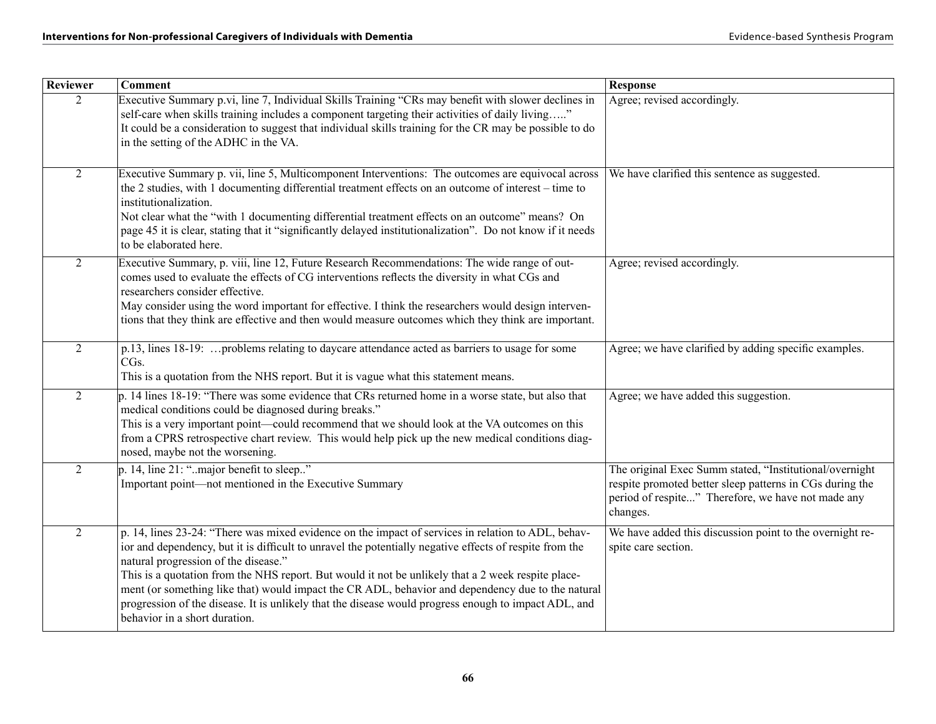| Reviewer       | <b>Comment</b>                                                                                                                                                                                                                                                                                                                                                                                                                                                                                                                                                                                            | <b>Response</b>                                                                                                                                                                       |
|----------------|-----------------------------------------------------------------------------------------------------------------------------------------------------------------------------------------------------------------------------------------------------------------------------------------------------------------------------------------------------------------------------------------------------------------------------------------------------------------------------------------------------------------------------------------------------------------------------------------------------------|---------------------------------------------------------------------------------------------------------------------------------------------------------------------------------------|
| $\overline{2}$ | Executive Summary p.vi, line 7, Individual Skills Training "CRs may benefit with slower declines in<br>self-care when skills training includes a component targeting their activities of daily living"<br>It could be a consideration to suggest that individual skills training for the CR may be possible to do<br>in the setting of the ADHC in the VA.                                                                                                                                                                                                                                                | Agree; revised accordingly.                                                                                                                                                           |
| $\overline{2}$ | Executive Summary p. vii, line 5, Multicomponent Interventions: The outcomes are equivocal across<br>the 2 studies, with 1 documenting differential treatment effects on an outcome of interest – time to<br>institutionalization.<br>Not clear what the "with 1 documenting differential treatment effects on an outcome" means? On<br>page 45 it is clear, stating that it "significantly delayed institutionalization". Do not know if it needs<br>to be elaborated here.                                                                                                                              | We have clarified this sentence as suggested.                                                                                                                                         |
| $\overline{2}$ | Executive Summary, p. viii, line 12, Future Research Recommendations: The wide range of out-<br>comes used to evaluate the effects of CG interventions reflects the diversity in what CGs and<br>researchers consider effective.<br>May consider using the word important for effective. I think the researchers would design interven-<br>tions that they think are effective and then would measure outcomes which they think are important.                                                                                                                                                            | Agree; revised accordingly.                                                                                                                                                           |
| $\overline{2}$ | p.13, lines 18-19:  problems relating to daycare attendance acted as barriers to usage for some<br>CG <sub>s</sub> .<br>This is a quotation from the NHS report. But it is vague what this statement means.                                                                                                                                                                                                                                                                                                                                                                                               | Agree; we have clarified by adding specific examples.                                                                                                                                 |
| $\overline{2}$ | p. 14 lines 18-19: "There was some evidence that CRs returned home in a worse state, but also that<br>medical conditions could be diagnosed during breaks."<br>This is a very important point—could recommend that we should look at the VA outcomes on this<br>from a CPRS retrospective chart review. This would help pick up the new medical conditions diag-<br>nosed, maybe not the worsening.                                                                                                                                                                                                       | Agree; we have added this suggestion.                                                                                                                                                 |
| $\overline{2}$ | p. 14, line 21: "major benefit to sleep"<br>Important point-not mentioned in the Executive Summary                                                                                                                                                                                                                                                                                                                                                                                                                                                                                                        | The original Exec Summ stated, "Institutional/overnight<br>respite promoted better sleep patterns in CGs during the<br>period of respite" Therefore, we have not made any<br>changes. |
| $\overline{2}$ | p. 14, lines 23-24: "There was mixed evidence on the impact of services in relation to ADL, behav-<br>ior and dependency, but it is difficult to unravel the potentially negative effects of respite from the<br>natural progression of the disease."<br>This is a quotation from the NHS report. But would it not be unlikely that a 2 week respite place-<br>ment (or something like that) would impact the CR ADL, behavior and dependency due to the natural<br>progression of the disease. It is unlikely that the disease would progress enough to impact ADL, and<br>behavior in a short duration. | We have added this discussion point to the overnight re-<br>spite care section.                                                                                                       |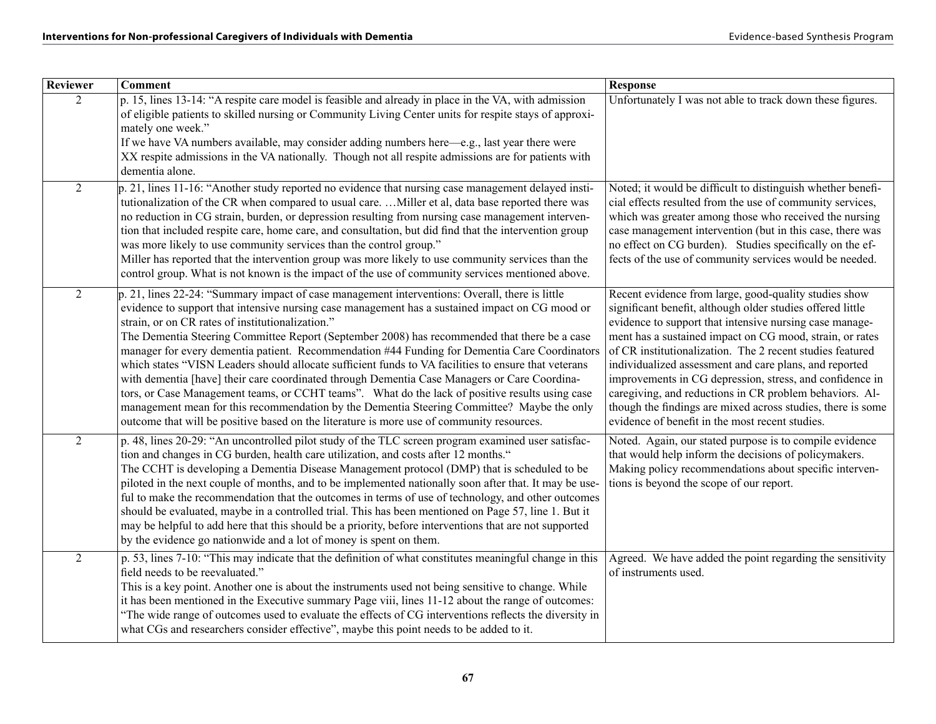| <b>Reviewer</b> | <b>Comment</b>                                                                                                                                                                                                                                                                                                                                                                                                                                                                                                                                                                                                                                                                                                                                                                                                                                                                                                                                               | <b>Response</b>                                                                                                                                                                                                                                                                                                                                                                                                                                                                                                                                                                                            |
|-----------------|--------------------------------------------------------------------------------------------------------------------------------------------------------------------------------------------------------------------------------------------------------------------------------------------------------------------------------------------------------------------------------------------------------------------------------------------------------------------------------------------------------------------------------------------------------------------------------------------------------------------------------------------------------------------------------------------------------------------------------------------------------------------------------------------------------------------------------------------------------------------------------------------------------------------------------------------------------------|------------------------------------------------------------------------------------------------------------------------------------------------------------------------------------------------------------------------------------------------------------------------------------------------------------------------------------------------------------------------------------------------------------------------------------------------------------------------------------------------------------------------------------------------------------------------------------------------------------|
| $\overline{2}$  | p. 15, lines 13-14: "A respite care model is feasible and already in place in the VA, with admission<br>of eligible patients to skilled nursing or Community Living Center units for respite stays of approxi-<br>mately one week."<br>If we have VA numbers available, may consider adding numbers here—e.g., last year there were<br>XX respite admissions in the VA nationally. Though not all respite admissions are for patients with<br>dementia alone.                                                                                                                                                                                                                                                                                                                                                                                                                                                                                                | Unfortunately I was not able to track down these figures.                                                                                                                                                                                                                                                                                                                                                                                                                                                                                                                                                  |
| $\overline{2}$  | $p. 21$ , lines 11-16: "Another study reported no evidence that nursing case management delayed insti-<br>tutionalization of the CR when compared to usual care.  Miller et al, data base reported there was<br>no reduction in CG strain, burden, or depression resulting from nursing case management interven-<br>tion that included respite care, home care, and consultation, but did find that the intervention group<br>was more likely to use community services than the control group."<br>Miller has reported that the intervention group was more likely to use community services than the<br>control group. What is not known is the impact of the use of community services mentioned above.                                                                                                                                                                                                                                                  | Noted; it would be difficult to distinguish whether benefi-<br>cial effects resulted from the use of community services,<br>which was greater among those who received the nursing<br>case management intervention (but in this case, there was<br>no effect on CG burden). Studies specifically on the ef-<br>fects of the use of community services would be needed.                                                                                                                                                                                                                                     |
| $\overline{2}$  | p. 21, lines 22-24: "Summary impact of case management interventions: Overall, there is little<br>evidence to support that intensive nursing case management has a sustained impact on CG mood or<br>strain, or on CR rates of institutionalization."<br>The Dementia Steering Committee Report (September 2008) has recommended that there be a case<br>manager for every dementia patient. Recommendation #44 Funding for Dementia Care Coordinators<br>which states "VISN Leaders should allocate sufficient funds to VA facilities to ensure that veterans<br>with dementia [have] their care coordinated through Dementia Case Managers or Care Coordina-<br>tors, or Case Management teams, or CCHT teams". What do the lack of positive results using case<br>management mean for this recommendation by the Dementia Steering Committee? Maybe the only<br>outcome that will be positive based on the literature is more use of community resources. | Recent evidence from large, good-quality studies show<br>significant benefit, although older studies offered little<br>evidence to support that intensive nursing case manage-<br>ment has a sustained impact on CG mood, strain, or rates<br>of CR institutionalization. The 2 recent studies featured<br>individualized assessment and care plans, and reported<br>improvements in CG depression, stress, and confidence in<br>caregiving, and reductions in CR problem behaviors. Al-<br>though the findings are mixed across studies, there is some<br>evidence of benefit in the most recent studies. |
| $\overline{2}$  | p. 48, lines 20-29: "An uncontrolled pilot study of the TLC screen program examined user satisfac-<br>tion and changes in CG burden, health care utilization, and costs after 12 months."<br>The CCHT is developing a Dementia Disease Management protocol (DMP) that is scheduled to be<br>piloted in the next couple of months, and to be implemented nationally soon after that. It may be use-<br>ful to make the recommendation that the outcomes in terms of use of technology, and other outcomes<br>should be evaluated, maybe in a controlled trial. This has been mentioned on Page 57, line 1. But it<br>may be helpful to add here that this should be a priority, before interventions that are not supported<br>by the evidence go nationwide and a lot of money is spent on them.                                                                                                                                                             | Noted. Again, our stated purpose is to compile evidence<br>that would help inform the decisions of policymakers.<br>Making policy recommendations about specific interven-<br>tions is beyond the scope of our report.                                                                                                                                                                                                                                                                                                                                                                                     |
| $\overline{2}$  | p. 53, lines 7-10: "This may indicate that the definition of what constitutes meaningful change in this<br>field needs to be reevaluated."<br>This is a key point. Another one is about the instruments used not being sensitive to change. While<br>it has been mentioned in the Executive summary Page viii, lines 11-12 about the range of outcomes:<br>"The wide range of outcomes used to evaluate the effects of CG interventions reflects the diversity in<br>what CGs and researchers consider effective", maybe this point needs to be added to it.                                                                                                                                                                                                                                                                                                                                                                                                 | Agreed. We have added the point regarding the sensitivity<br>of instruments used.                                                                                                                                                                                                                                                                                                                                                                                                                                                                                                                          |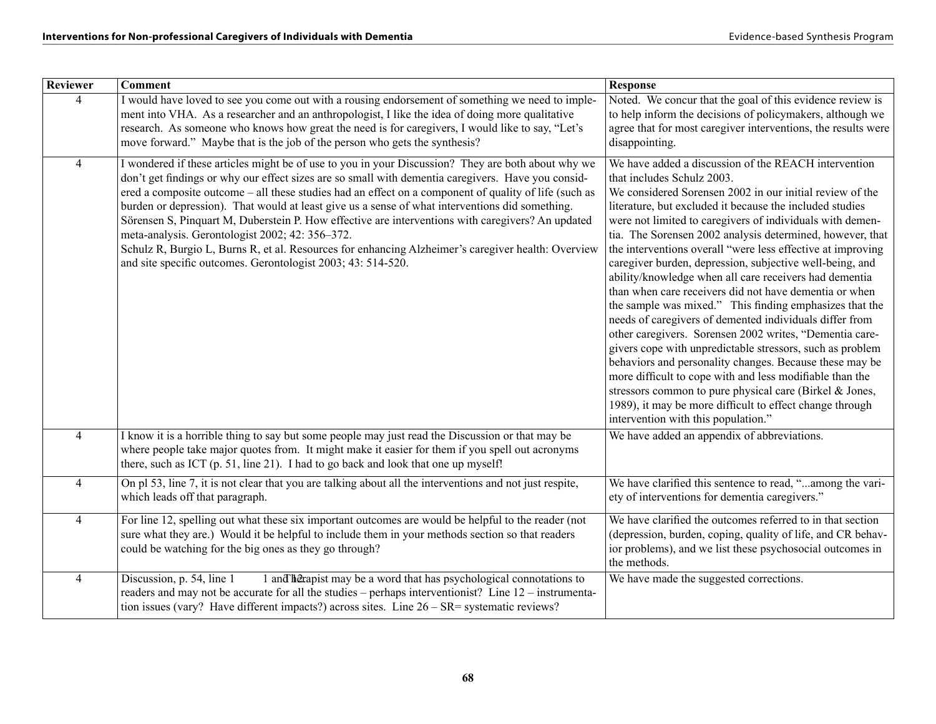| <b>Reviewer</b> | <b>Comment</b>                                                                                                                                                                                                                                                                                                                                                                                                                                                                                                                                                                                                                                                                                                                                     | <b>Response</b>                                                                                                                                                                                                                                                                                                                                                                                                                                                                                                                                                                                                                                                                                                                                                                                                                                                                                                                                                                                                                                                                                                        |
|-----------------|----------------------------------------------------------------------------------------------------------------------------------------------------------------------------------------------------------------------------------------------------------------------------------------------------------------------------------------------------------------------------------------------------------------------------------------------------------------------------------------------------------------------------------------------------------------------------------------------------------------------------------------------------------------------------------------------------------------------------------------------------|------------------------------------------------------------------------------------------------------------------------------------------------------------------------------------------------------------------------------------------------------------------------------------------------------------------------------------------------------------------------------------------------------------------------------------------------------------------------------------------------------------------------------------------------------------------------------------------------------------------------------------------------------------------------------------------------------------------------------------------------------------------------------------------------------------------------------------------------------------------------------------------------------------------------------------------------------------------------------------------------------------------------------------------------------------------------------------------------------------------------|
| $\overline{4}$  | I would have loved to see you come out with a rousing endorsement of something we need to imple-<br>ment into VHA. As a researcher and an anthropologist, I like the idea of doing more qualitative<br>research. As someone who knows how great the need is for caregivers, I would like to say, "Let's<br>move forward." Maybe that is the job of the person who gets the synthesis?                                                                                                                                                                                                                                                                                                                                                              | Noted. We concur that the goal of this evidence review is<br>to help inform the decisions of policymakers, although we<br>agree that for most caregiver interventions, the results were<br>disappointing.                                                                                                                                                                                                                                                                                                                                                                                                                                                                                                                                                                                                                                                                                                                                                                                                                                                                                                              |
| $\overline{4}$  | I wondered if these articles might be of use to you in your Discussion? They are both about why we<br>don't get findings or why our effect sizes are so small with dementia caregivers. Have you consid-<br>ered a composite outcome – all these studies had an effect on a component of quality of life (such as<br>burden or depression). That would at least give us a sense of what interventions did something.<br>Sörensen S, Pinquart M, Duberstein P. How effective are interventions with caregivers? An updated<br>meta-analysis. Gerontologist 2002; 42: 356-372.<br>Schulz R, Burgio L, Burns R, et al. Resources for enhancing Alzheimer's caregiver health: Overview<br>and site specific outcomes. Gerontologist 2003; 43: 514-520. | We have added a discussion of the REACH intervention<br>that includes Schulz 2003.<br>We considered Sorensen 2002 in our initial review of the<br>literature, but excluded it because the included studies<br>were not limited to caregivers of individuals with demen-<br>tia. The Sorensen 2002 analysis determined, however, that<br>the interventions overall "were less effective at improving<br>caregiver burden, depression, subjective well-being, and<br>ability/knowledge when all care receivers had dementia<br>than when care receivers did not have dementia or when<br>the sample was mixed." This finding emphasizes that the<br>needs of caregivers of demented individuals differ from<br>other caregivers. Sorensen 2002 writes, "Dementia care-<br>givers cope with unpredictable stressors, such as problem<br>behaviors and personality changes. Because these may be<br>more difficult to cope with and less modifiable than the<br>stressors common to pure physical care (Birkel & Jones,<br>1989), it may be more difficult to effect change through<br>intervention with this population." |
| $\overline{4}$  | I know it is a horrible thing to say but some people may just read the Discussion or that may be<br>where people take major quotes from. It might make it easier for them if you spell out acronyms<br>there, such as ICT (p. 51, line 21). I had to go back and look that one up myself!                                                                                                                                                                                                                                                                                                                                                                                                                                                          | We have added an appendix of abbreviations.                                                                                                                                                                                                                                                                                                                                                                                                                                                                                                                                                                                                                                                                                                                                                                                                                                                                                                                                                                                                                                                                            |
| $\overline{4}$  | On pl 53, line 7, it is not clear that you are talking about all the interventions and not just respite,<br>which leads off that paragraph.                                                                                                                                                                                                                                                                                                                                                                                                                                                                                                                                                                                                        | We have clarified this sentence to read, "among the vari-<br>ety of interventions for dementia caregivers."                                                                                                                                                                                                                                                                                                                                                                                                                                                                                                                                                                                                                                                                                                                                                                                                                                                                                                                                                                                                            |
| $\overline{4}$  | For line 12, spelling out what these six important outcomes are would be helpful to the reader (not<br>sure what they are.) Would it be helpful to include them in your methods section so that readers<br>could be watching for the big ones as they go through?                                                                                                                                                                                                                                                                                                                                                                                                                                                                                  | We have clarified the outcomes referred to in that section<br>(depression, burden, coping, quality of life, and CR behav-<br>ior problems), and we list these psychosocial outcomes in<br>the methods.                                                                                                                                                                                                                                                                                                                                                                                                                                                                                                                                                                                                                                                                                                                                                                                                                                                                                                                 |
| $\overline{4}$  | Discussion, p. 54, line 1<br>1 and hetapist may be a word that has psychological connotations to<br>readers and may not be accurate for all the studies – perhaps interventionist? Line 12 – instrumenta-<br>tion issues (vary? Have different impacts?) across sites. Line $26 - SR$ = systematic reviews?                                                                                                                                                                                                                                                                                                                                                                                                                                        | We have made the suggested corrections.                                                                                                                                                                                                                                                                                                                                                                                                                                                                                                                                                                                                                                                                                                                                                                                                                                                                                                                                                                                                                                                                                |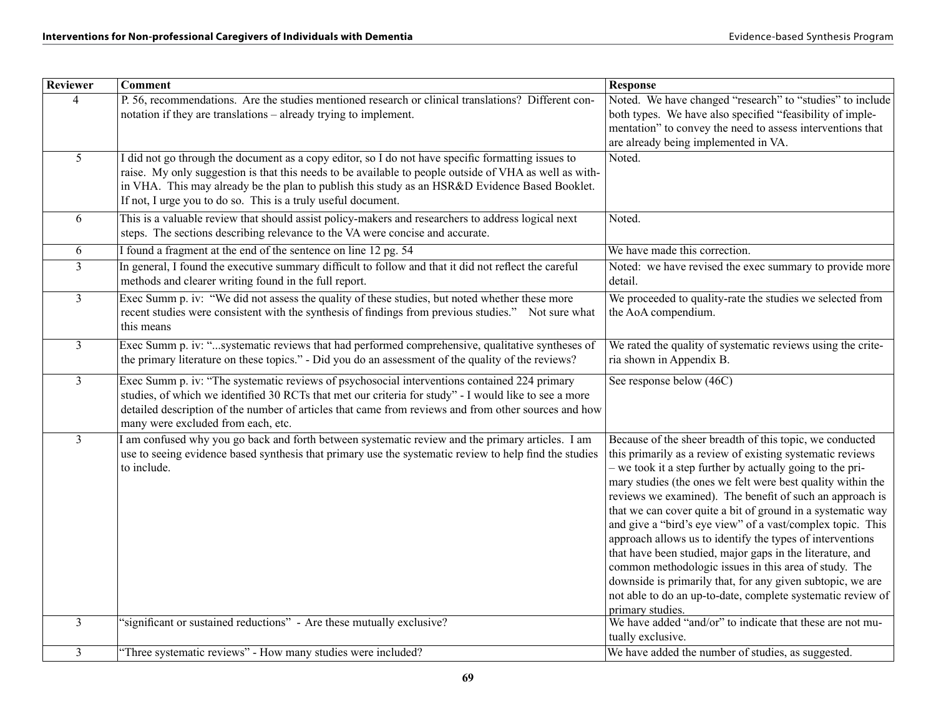| Reviewer       | <b>Comment</b>                                                                                                                                                                                                                                                                                                                                                                  | <b>Response</b>                                                                                                                                                                                                                                                                                                                                                                                                                                                                                                                                                                                                                                                                                                                                                                |
|----------------|---------------------------------------------------------------------------------------------------------------------------------------------------------------------------------------------------------------------------------------------------------------------------------------------------------------------------------------------------------------------------------|--------------------------------------------------------------------------------------------------------------------------------------------------------------------------------------------------------------------------------------------------------------------------------------------------------------------------------------------------------------------------------------------------------------------------------------------------------------------------------------------------------------------------------------------------------------------------------------------------------------------------------------------------------------------------------------------------------------------------------------------------------------------------------|
| $\overline{4}$ | P. 56, recommendations. Are the studies mentioned research or clinical translations? Different con-<br>notation if they are translations – already trying to implement.                                                                                                                                                                                                         | Noted. We have changed "research" to "studies" to include<br>both types. We have also specified "feasibility of imple-<br>mentation" to convey the need to assess interventions that<br>are already being implemented in VA.                                                                                                                                                                                                                                                                                                                                                                                                                                                                                                                                                   |
| $\overline{5}$ | I did not go through the document as a copy editor, so I do not have specific formatting issues to<br>raise. My only suggestion is that this needs to be available to people outside of VHA as well as with-<br>in VHA. This may already be the plan to publish this study as an HSR&D Evidence Based Booklet.<br>If not, I urge you to do so. This is a truly useful document. | Noted.                                                                                                                                                                                                                                                                                                                                                                                                                                                                                                                                                                                                                                                                                                                                                                         |
| 6              | This is a valuable review that should assist policy-makers and researchers to address logical next<br>steps. The sections describing relevance to the VA were concise and accurate.                                                                                                                                                                                             | Noted.                                                                                                                                                                                                                                                                                                                                                                                                                                                                                                                                                                                                                                                                                                                                                                         |
| 6              | I found a fragment at the end of the sentence on line 12 pg. 54                                                                                                                                                                                                                                                                                                                 | We have made this correction.                                                                                                                                                                                                                                                                                                                                                                                                                                                                                                                                                                                                                                                                                                                                                  |
| $\overline{3}$ | In general, I found the executive summary difficult to follow and that it did not reflect the careful<br>methods and clearer writing found in the full report.                                                                                                                                                                                                                  | Noted: we have revised the exec summary to provide more<br>detail.                                                                                                                                                                                                                                                                                                                                                                                                                                                                                                                                                                                                                                                                                                             |
| $\overline{3}$ | Exec Summ p. iv: "We did not assess the quality of these studies, but noted whether these more<br>recent studies were consistent with the synthesis of findings from previous studies." Not sure what<br>this means                                                                                                                                                             | We proceeded to quality-rate the studies we selected from<br>the AoA compendium.                                                                                                                                                                                                                                                                                                                                                                                                                                                                                                                                                                                                                                                                                               |
| $\overline{3}$ | Exec Summ p. iv: "systematic reviews that had performed comprehensive, qualitative syntheses of<br>the primary literature on these topics." - Did you do an assessment of the quality of the reviews?                                                                                                                                                                           | We rated the quality of systematic reviews using the crite-<br>ria shown in Appendix B.                                                                                                                                                                                                                                                                                                                                                                                                                                                                                                                                                                                                                                                                                        |
| $\overline{3}$ | Exec Summ p. iv: "The systematic reviews of psychosocial interventions contained 224 primary<br>studies, of which we identified 30 RCTs that met our criteria for study" - I would like to see a more<br>detailed description of the number of articles that came from reviews and from other sources and how<br>many were excluded from each, etc.                             | See response below (46C)                                                                                                                                                                                                                                                                                                                                                                                                                                                                                                                                                                                                                                                                                                                                                       |
| $\overline{3}$ | I am confused why you go back and forth between systematic review and the primary articles. I am<br>use to seeing evidence based synthesis that primary use the systematic review to help find the studies<br>to include.                                                                                                                                                       | Because of the sheer breadth of this topic, we conducted<br>this primarily as a review of existing systematic reviews<br>- we took it a step further by actually going to the pri-<br>mary studies (the ones we felt were best quality within the<br>reviews we examined). The benefit of such an approach is<br>that we can cover quite a bit of ground in a systematic way<br>and give a "bird's eye view" of a vast/complex topic. This<br>approach allows us to identify the types of interventions<br>that have been studied, major gaps in the literature, and<br>common methodologic issues in this area of study. The<br>downside is primarily that, for any given subtopic, we are<br>not able to do an up-to-date, complete systematic review of<br>primary studies. |
| $\overline{3}$ | 'significant or sustained reductions" - Are these mutually exclusive?                                                                                                                                                                                                                                                                                                           | We have added "and/or" to indicate that these are not mu-<br>tually exclusive.                                                                                                                                                                                                                                                                                                                                                                                                                                                                                                                                                                                                                                                                                                 |
| $\overline{3}$ | "Three systematic reviews" - How many studies were included?                                                                                                                                                                                                                                                                                                                    | We have added the number of studies, as suggested.                                                                                                                                                                                                                                                                                                                                                                                                                                                                                                                                                                                                                                                                                                                             |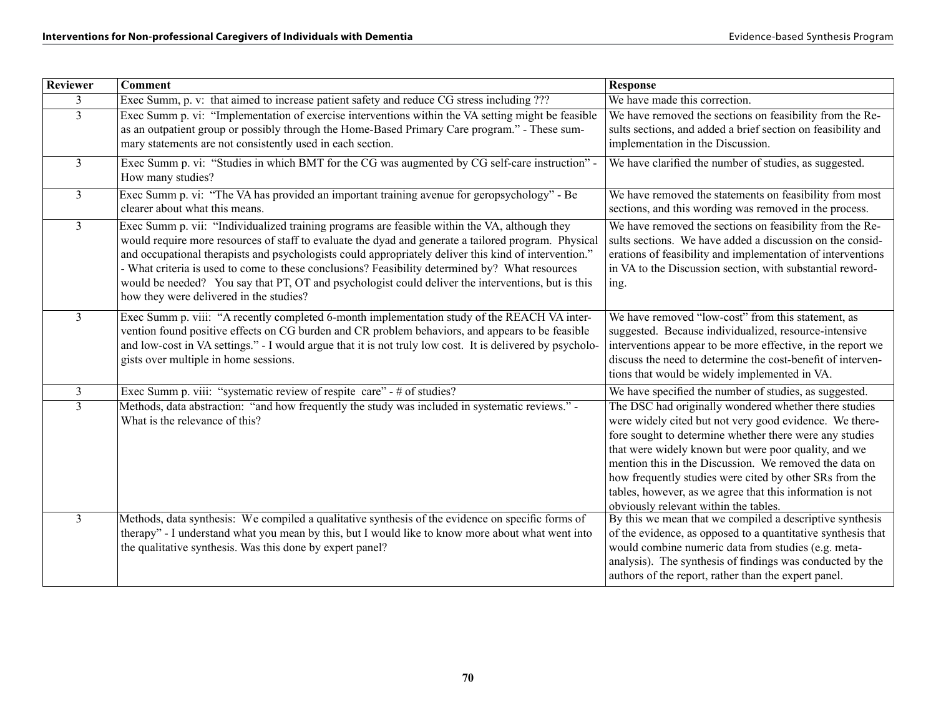| Reviewer       | <b>Comment</b>                                                                                                                                                                                                                                                                                                                                                                                                                                                                                                                                                     | <b>Response</b>                                                                                                                                                                                                                                                                                                                                                                                                                                                |
|----------------|--------------------------------------------------------------------------------------------------------------------------------------------------------------------------------------------------------------------------------------------------------------------------------------------------------------------------------------------------------------------------------------------------------------------------------------------------------------------------------------------------------------------------------------------------------------------|----------------------------------------------------------------------------------------------------------------------------------------------------------------------------------------------------------------------------------------------------------------------------------------------------------------------------------------------------------------------------------------------------------------------------------------------------------------|
| 3              | Exec Summ, p. v: that aimed to increase patient safety and reduce CG stress including ???                                                                                                                                                                                                                                                                                                                                                                                                                                                                          | We have made this correction.                                                                                                                                                                                                                                                                                                                                                                                                                                  |
| $\overline{3}$ | Exec Summ p. vi: "Implementation of exercise interventions within the VA setting might be feasible<br>as an outpatient group or possibly through the Home-Based Primary Care program." - These sum-<br>mary statements are not consistently used in each section.                                                                                                                                                                                                                                                                                                  | We have removed the sections on feasibility from the Re-<br>sults sections, and added a brief section on feasibility and<br>implementation in the Discussion.                                                                                                                                                                                                                                                                                                  |
| $\mathfrak{Z}$ | Exec Summ p. vi: "Studies in which BMT for the CG was augmented by CG self-care instruction" -<br>How many studies?                                                                                                                                                                                                                                                                                                                                                                                                                                                | We have clarified the number of studies, as suggested.                                                                                                                                                                                                                                                                                                                                                                                                         |
| $\mathfrak{Z}$ | Exec Summ p. vi: "The VA has provided an important training avenue for geropsychology" - Be<br>clearer about what this means.                                                                                                                                                                                                                                                                                                                                                                                                                                      | We have removed the statements on feasibility from most<br>sections, and this wording was removed in the process.                                                                                                                                                                                                                                                                                                                                              |
| $\overline{3}$ | Exec Summ p. vii: "Individualized training programs are feasible within the VA, although they<br>would require more resources of staff to evaluate the dyad and generate a tailored program. Physical<br>and occupational therapists and psychologists could appropriately deliver this kind of intervention."<br>- What criteria is used to come to these conclusions? Feasibility determined by? What resources<br>would be needed? You say that PT, OT and psychologist could deliver the interventions, but is this<br>how they were delivered in the studies? | We have removed the sections on feasibility from the Re-<br>sults sections. We have added a discussion on the consid-<br>erations of feasibility and implementation of interventions<br>in VA to the Discussion section, with substantial reword-<br>ing.                                                                                                                                                                                                      |
| $\overline{3}$ | Exec Summ p. viii: "A recently completed 6-month implementation study of the REACH VA inter-<br>vention found positive effects on CG burden and CR problem behaviors, and appears to be feasible<br>and low-cost in VA settings." - I would argue that it is not truly low cost. It is delivered by psycholo-<br>gists over multiple in home sessions.                                                                                                                                                                                                             | We have removed "low-cost" from this statement, as<br>suggested. Because individualized, resource-intensive<br>interventions appear to be more effective, in the report we<br>discuss the need to determine the cost-benefit of interven-<br>tions that would be widely implemented in VA.                                                                                                                                                                     |
| $\mathfrak{Z}$ | Exec Summ p. viii: "systematic review of respite care" - # of studies?                                                                                                                                                                                                                                                                                                                                                                                                                                                                                             | We have specified the number of studies, as suggested.                                                                                                                                                                                                                                                                                                                                                                                                         |
| $\overline{3}$ | Methods, data abstraction: "and how frequently the study was included in systematic reviews." -<br>What is the relevance of this?                                                                                                                                                                                                                                                                                                                                                                                                                                  | The DSC had originally wondered whether there studies<br>were widely cited but not very good evidence. We there-<br>fore sought to determine whether there were any studies<br>that were widely known but were poor quality, and we<br>mention this in the Discussion. We removed the data on<br>how frequently studies were cited by other SRs from the<br>tables, however, as we agree that this information is not<br>obviously relevant within the tables. |
| $\overline{3}$ | Methods, data synthesis: We compiled a qualitative synthesis of the evidence on specific forms of<br>therapy" - I understand what you mean by this, but I would like to know more about what went into<br>the qualitative synthesis. Was this done by expert panel?                                                                                                                                                                                                                                                                                                | By this we mean that we compiled a descriptive synthesis<br>of the evidence, as opposed to a quantitative synthesis that<br>would combine numeric data from studies (e.g. meta-<br>analysis). The synthesis of findings was conducted by the<br>authors of the report, rather than the expert panel.                                                                                                                                                           |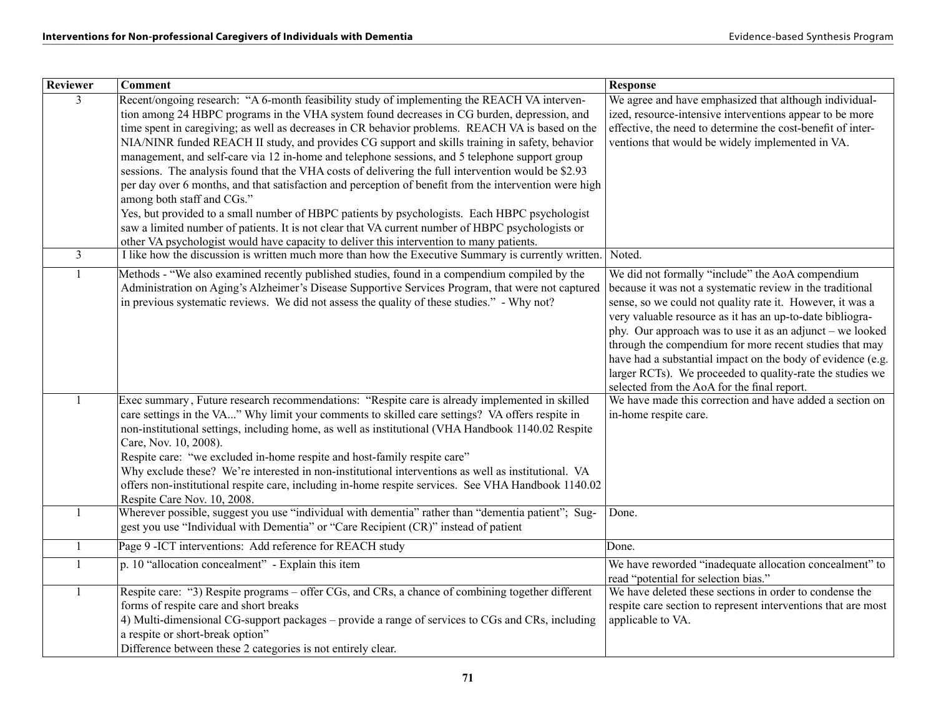| Reviewer       | <b>Comment</b>                                                                                                                                                                                                                                                                                                                                                                                                                                                                                                                                                                                                                                                                                                                                                                                                                                                                                                                                                                                                                                        | <b>Response</b>                                                                                                                                                                                                                                                                                                                                                                                                                                                                                                                            |
|----------------|-------------------------------------------------------------------------------------------------------------------------------------------------------------------------------------------------------------------------------------------------------------------------------------------------------------------------------------------------------------------------------------------------------------------------------------------------------------------------------------------------------------------------------------------------------------------------------------------------------------------------------------------------------------------------------------------------------------------------------------------------------------------------------------------------------------------------------------------------------------------------------------------------------------------------------------------------------------------------------------------------------------------------------------------------------|--------------------------------------------------------------------------------------------------------------------------------------------------------------------------------------------------------------------------------------------------------------------------------------------------------------------------------------------------------------------------------------------------------------------------------------------------------------------------------------------------------------------------------------------|
| $\mathcal{E}$  | Recent/ongoing research: "A 6-month feasibility study of implementing the REACH VA interven-<br>tion among 24 HBPC programs in the VHA system found decreases in CG burden, depression, and<br>time spent in caregiving; as well as decreases in CR behavior problems. REACH VA is based on the<br>NIA/NINR funded REACH II study, and provides CG support and skills training in safety, behavior<br>management, and self-care via 12 in-home and telephone sessions, and 5 telephone support group<br>sessions. The analysis found that the VHA costs of delivering the full intervention would be \$2.93<br>per day over 6 months, and that satisfaction and perception of benefit from the intervention were high<br>among both staff and CGs."<br>Yes, but provided to a small number of HBPC patients by psychologists. Each HBPC psychologist<br>saw a limited number of patients. It is not clear that VA current number of HBPC psychologists or<br>other VA psychologist would have capacity to deliver this intervention to many patients. | We agree and have emphasized that although individual-<br>ized, resource-intensive interventions appear to be more<br>effective, the need to determine the cost-benefit of inter-<br>ventions that would be widely implemented in VA.<br>Noted.                                                                                                                                                                                                                                                                                            |
| $\overline{3}$ | I like how the discussion is written much more than how the Executive Summary is currently written.                                                                                                                                                                                                                                                                                                                                                                                                                                                                                                                                                                                                                                                                                                                                                                                                                                                                                                                                                   |                                                                                                                                                                                                                                                                                                                                                                                                                                                                                                                                            |
| $\mathbf{1}$   | Methods - "We also examined recently published studies, found in a compendium compiled by the<br>Administration on Aging's Alzheimer's Disease Supportive Services Program, that were not captured<br>in previous systematic reviews. We did not assess the quality of these studies." - Why not?                                                                                                                                                                                                                                                                                                                                                                                                                                                                                                                                                                                                                                                                                                                                                     | We did not formally "include" the AoA compendium<br>because it was not a systematic review in the traditional<br>sense, so we could not quality rate it. However, it was a<br>very valuable resource as it has an up-to-date bibliogra-<br>phy. Our approach was to use it as an adjunct – we looked<br>through the compendium for more recent studies that may<br>have had a substantial impact on the body of evidence (e.g.<br>larger RCTs). We proceeded to quality-rate the studies we<br>selected from the AoA for the final report. |
| $\mathbf{1}$   | Exec summary, Future research recommendations: "Respite care is already implemented in skilled<br>care settings in the VA" Why limit your comments to skilled care settings? VA offers respite in<br>non-institutional settings, including home, as well as institutional (VHA Handbook 1140.02 Respite<br>Care, Nov. 10, 2008).<br>Respite care: "we excluded in-home respite and host-family respite care"<br>Why exclude these? We're interested in non-institutional interventions as well as institutional. VA<br>offers non-institutional respite care, including in-home respite services. See VHA Handbook 1140.02<br>Respite Care Nov. 10, 2008.                                                                                                                                                                                                                                                                                                                                                                                             | We have made this correction and have added a section on<br>in-home respite care.                                                                                                                                                                                                                                                                                                                                                                                                                                                          |
| 1              | Wherever possible, suggest you use "individual with dementia" rather than "dementia patient"; Sug-<br>gest you use "Individual with Dementia" or "Care Recipient (CR)" instead of patient                                                                                                                                                                                                                                                                                                                                                                                                                                                                                                                                                                                                                                                                                                                                                                                                                                                             | Done.                                                                                                                                                                                                                                                                                                                                                                                                                                                                                                                                      |
| $\mathbf{1}$   | Page 9 - ICT interventions: Add reference for REACH study                                                                                                                                                                                                                                                                                                                                                                                                                                                                                                                                                                                                                                                                                                                                                                                                                                                                                                                                                                                             | Done.                                                                                                                                                                                                                                                                                                                                                                                                                                                                                                                                      |
| $\mathbf{1}$   | p. 10 "allocation concealment" - Explain this item                                                                                                                                                                                                                                                                                                                                                                                                                                                                                                                                                                                                                                                                                                                                                                                                                                                                                                                                                                                                    | We have reworded "inadequate allocation concealment" to<br>read "potential for selection bias."                                                                                                                                                                                                                                                                                                                                                                                                                                            |
| 1              | Respite care: "3) Respite programs – offer CGs, and CRs, a chance of combining together different<br>forms of respite care and short breaks<br>4) Multi-dimensional CG-support packages – provide a range of services to CGs and CRs, including<br>a respite or short-break option"<br>Difference between these 2 categories is not entirely clear.                                                                                                                                                                                                                                                                                                                                                                                                                                                                                                                                                                                                                                                                                                   | We have deleted these sections in order to condense the<br>respite care section to represent interventions that are most<br>applicable to VA.                                                                                                                                                                                                                                                                                                                                                                                              |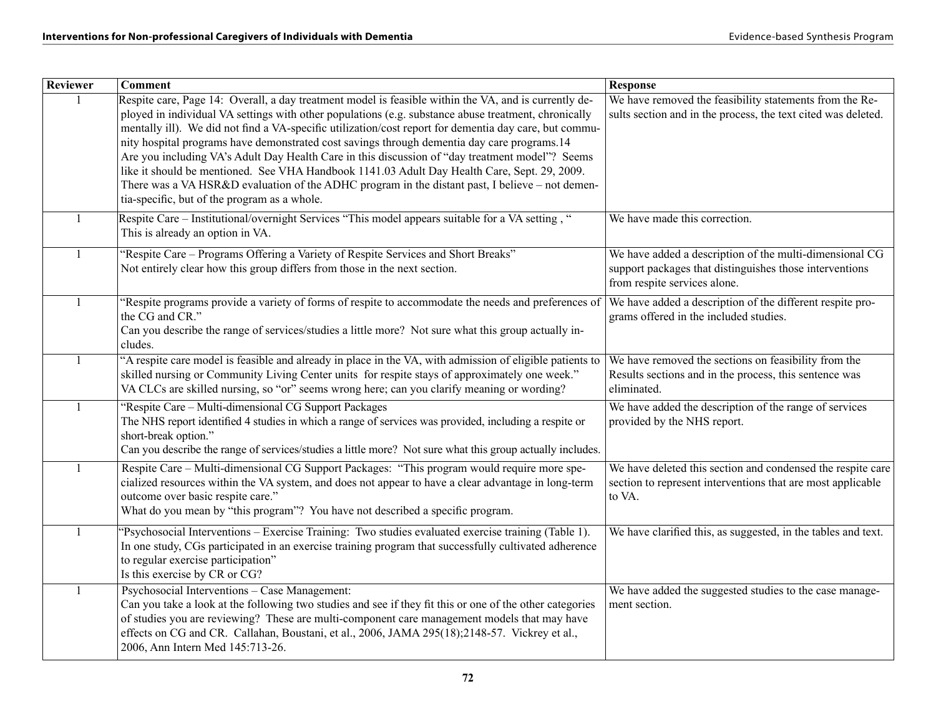| Reviewer     | <b>Comment</b>                                                                                                                                                                                                | <b>Response</b>                                                                                                          |
|--------------|---------------------------------------------------------------------------------------------------------------------------------------------------------------------------------------------------------------|--------------------------------------------------------------------------------------------------------------------------|
|              | Respite care, Page 14: Overall, a day treatment model is feasible within the VA, and is currently de-<br>ployed in individual VA settings with other populations (e.g. substance abuse treatment, chronically | We have removed the feasibility statements from the Re-<br>sults section and in the process, the text cited was deleted. |
|              | mentally ill). We did not find a VA-specific utilization/cost report for dementia day care, but commu-                                                                                                        |                                                                                                                          |
|              | nity hospital programs have demonstrated cost savings through dementia day care programs.14                                                                                                                   |                                                                                                                          |
|              | Are you including VA's Adult Day Health Care in this discussion of "day treatment model"? Seems                                                                                                               |                                                                                                                          |
|              | like it should be mentioned. See VHA Handbook 1141.03 Adult Day Health Care, Sept. 29, 2009.                                                                                                                  |                                                                                                                          |
|              | There was a VA HSR&D evaluation of the ADHC program in the distant past, I believe – not demen-<br>tia-specific, but of the program as a whole.                                                               |                                                                                                                          |
| 1            | Respite Care – Institutional/overnight Services "This model appears suitable for a VA setting, "                                                                                                              | We have made this correction.                                                                                            |
|              | This is already an option in VA.                                                                                                                                                                              |                                                                                                                          |
| $\mathbf{1}$ | "Respite Care - Programs Offering a Variety of Respite Services and Short Breaks"                                                                                                                             | We have added a description of the multi-dimensional CG                                                                  |
|              | Not entirely clear how this group differs from those in the next section.                                                                                                                                     | support packages that distinguishes those interventions                                                                  |
|              |                                                                                                                                                                                                               | from respite services alone.                                                                                             |
| $\mathbf{1}$ | 'Respite programs provide a variety of forms of respite to accommodate the needs and preferences of                                                                                                           | We have added a description of the different respite pro-                                                                |
|              | the CG and CR."<br>Can you describe the range of services/studies a little more? Not sure what this group actually in-                                                                                        | grams offered in the included studies.                                                                                   |
|              | cludes.                                                                                                                                                                                                       |                                                                                                                          |
| $\mathbf{1}$ | "A respite care model is feasible and already in place in the VA, with admission of eligible patients to                                                                                                      | We have removed the sections on feasibility from the                                                                     |
|              | skilled nursing or Community Living Center units for respite stays of approximately one week."                                                                                                                | Results sections and in the process, this sentence was                                                                   |
|              | VA CLCs are skilled nursing, so "or" seems wrong here; can you clarify meaning or wording?                                                                                                                    | eliminated.                                                                                                              |
| $\mathbf{1}$ | "Respite Care – Multi-dimensional CG Support Packages                                                                                                                                                         | We have added the description of the range of services                                                                   |
|              | The NHS report identified 4 studies in which a range of services was provided, including a respite or<br>short-break option."                                                                                 | provided by the NHS report.                                                                                              |
|              | Can you describe the range of services/studies a little more? Not sure what this group actually includes.                                                                                                     |                                                                                                                          |
| $\mathbf{1}$ | Respite Care - Multi-dimensional CG Support Packages: "This program would require more spe-                                                                                                                   | We have deleted this section and condensed the respite care                                                              |
|              | cialized resources within the VA system, and does not appear to have a clear advantage in long-term                                                                                                           | section to represent interventions that are most applicable                                                              |
|              | outcome over basic respite care."                                                                                                                                                                             | to VA.                                                                                                                   |
|              | What do you mean by "this program"? You have not described a specific program.                                                                                                                                |                                                                                                                          |
| $\mathbf{1}$ | 'Psychosocial Interventions – Exercise Training: Two studies evaluated exercise training (Table 1).                                                                                                           | We have clarified this, as suggested, in the tables and text.                                                            |
|              | In one study, CGs participated in an exercise training program that successfully cultivated adherence                                                                                                         |                                                                                                                          |
|              | to regular exercise participation"                                                                                                                                                                            |                                                                                                                          |
|              | Is this exercise by CR or CG?<br>Psychosocial Interventions - Case Management:                                                                                                                                |                                                                                                                          |
| $\mathbf{1}$ | Can you take a look at the following two studies and see if they fit this or one of the other categories                                                                                                      | We have added the suggested studies to the case manage-<br>ment section.                                                 |
|              | of studies you are reviewing? These are multi-component care management models that may have                                                                                                                  |                                                                                                                          |
|              | effects on CG and CR. Callahan, Boustani, et al., 2006, JAMA 295(18);2148-57. Vickrey et al.,                                                                                                                 |                                                                                                                          |
|              | 2006, Ann Intern Med 145:713-26.                                                                                                                                                                              |                                                                                                                          |